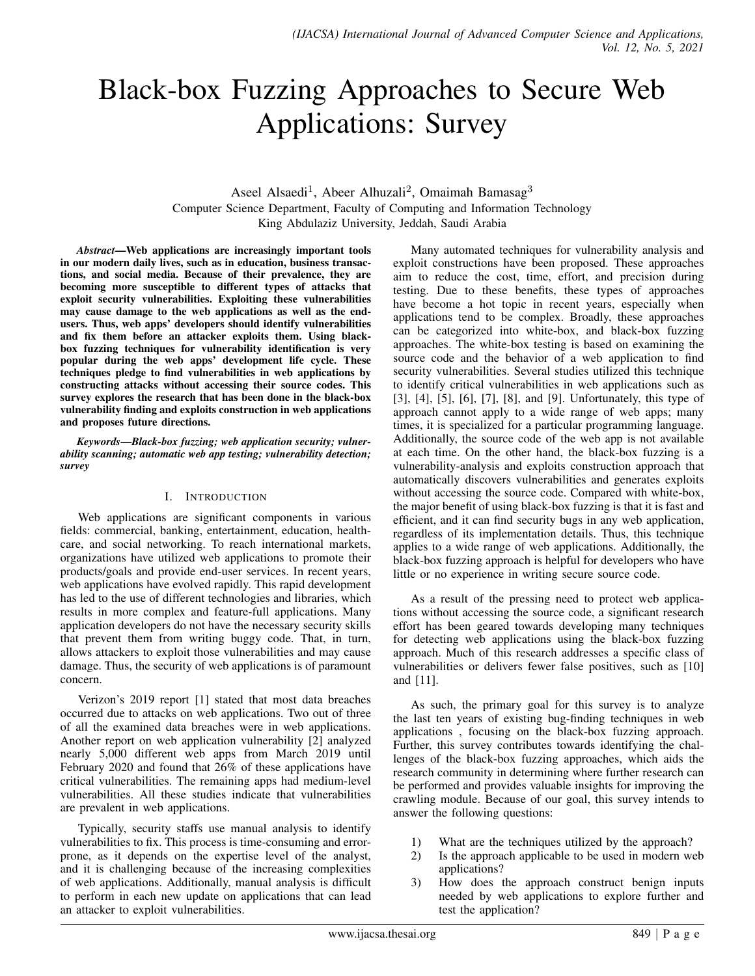# Black-box Fuzzing Approaches to Secure Web Applications: Survey

## Aseel Alsaedi<sup>1</sup>, Abeer Alhuzali<sup>2</sup>, Omaimah Bamasag<sup>3</sup> Computer Science Department, Faculty of Computing and Information Technology King Abdulaziz University, Jeddah, Saudi Arabia

*Abstract*—Web applications are increasingly important tools in our modern daily lives, such as in education, business transactions, and social media. Because of their prevalence, they are becoming more susceptible to different types of attacks that exploit security vulnerabilities. Exploiting these vulnerabilities may cause damage to the web applications as well as the endusers. Thus, web apps' developers should identify vulnerabilities and fix them before an attacker exploits them. Using blackbox fuzzing techniques for vulnerability identification is very popular during the web apps' development life cycle. These techniques pledge to find vulnerabilities in web applications by constructing attacks without accessing their source codes. This survey explores the research that has been done in the black-box vulnerability finding and exploits construction in web applications and proposes future directions.

*Keywords*—*Black-box fuzzing; web application security; vulnerability scanning; automatic web app testing; vulnerability detection; survey*

#### I. INTRODUCTION

Web applications are significant components in various fields: commercial, banking, entertainment, education, healthcare, and social networking. To reach international markets, organizations have utilized web applications to promote their products/goals and provide end-user services. In recent years, web applications have evolved rapidly. This rapid development has led to the use of different technologies and libraries, which results in more complex and feature-full applications. Many application developers do not have the necessary security skills that prevent them from writing buggy code. That, in turn, allows attackers to exploit those vulnerabilities and may cause damage. Thus, the security of web applications is of paramount concern.

Verizon's 2019 report [1] stated that most data breaches occurred due to attacks on web applications. Two out of three of all the examined data breaches were in web applications. Another report on web application vulnerability [2] analyzed nearly 5,000 different web apps from March 2019 until February 2020 and found that 26% of these applications have critical vulnerabilities. The remaining apps had medium-level vulnerabilities. All these studies indicate that vulnerabilities are prevalent in web applications.

Typically, security staffs use manual analysis to identify vulnerabilities to fix. This process is time-consuming and errorprone, as it depends on the expertise level of the analyst, and it is challenging because of the increasing complexities of web applications. Additionally, manual analysis is difficult to perform in each new update on applications that can lead an attacker to exploit vulnerabilities.

Many automated techniques for vulnerability analysis and exploit constructions have been proposed. These approaches aim to reduce the cost, time, effort, and precision during testing. Due to these benefits, these types of approaches have become a hot topic in recent years, especially when applications tend to be complex. Broadly, these approaches can be categorized into white-box, and black-box fuzzing approaches. The white-box testing is based on examining the source code and the behavior of a web application to find security vulnerabilities. Several studies utilized this technique to identify critical vulnerabilities in web applications such as [3], [4], [5], [6], [7], [8], and [9]. Unfortunately, this type of approach cannot apply to a wide range of web apps; many times, it is specialized for a particular programming language. Additionally, the source code of the web app is not available at each time. On the other hand, the black-box fuzzing is a vulnerability-analysis and exploits construction approach that automatically discovers vulnerabilities and generates exploits without accessing the source code. Compared with white-box, the major benefit of using black-box fuzzing is that it is fast and efficient, and it can find security bugs in any web application, regardless of its implementation details. Thus, this technique applies to a wide range of web applications. Additionally, the black-box fuzzing approach is helpful for developers who have little or no experience in writing secure source code.

As a result of the pressing need to protect web applications without accessing the source code, a significant research effort has been geared towards developing many techniques for detecting web applications using the black-box fuzzing approach. Much of this research addresses a specific class of vulnerabilities or delivers fewer false positives, such as [10] and [11].

As such, the primary goal for this survey is to analyze the last ten years of existing bug-finding techniques in web applications , focusing on the black-box fuzzing approach. Further, this survey contributes towards identifying the challenges of the black-box fuzzing approaches, which aids the research community in determining where further research can be performed and provides valuable insights for improving the crawling module. Because of our goal, this survey intends to answer the following questions:

- 1) What are the techniques utilized by the approach?
- 2) Is the approach applicable to be used in modern web applications?
- 3) How does the approach construct benign inputs needed by web applications to explore further and test the application?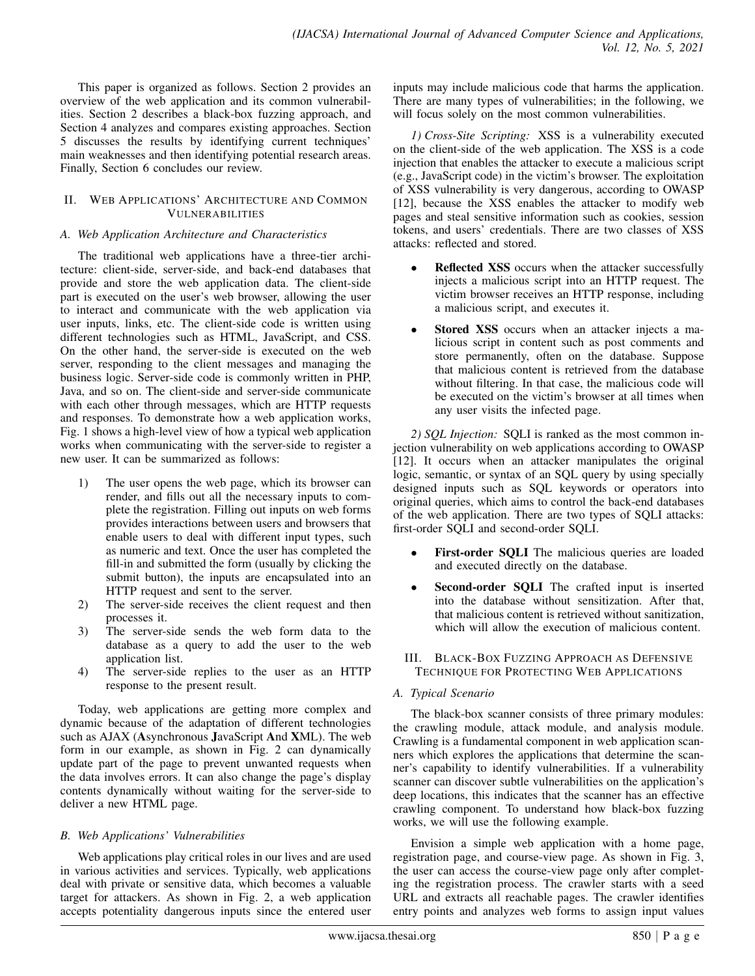This paper is organized as follows. Section 2 provides an overview of the web application and its common vulnerabilities. Section 2 describes a black-box fuzzing approach, and Section 4 analyzes and compares existing approaches. Section 5 discusses the results by identifying current techniques' main weaknesses and then identifying potential research areas. Finally, Section 6 concludes our review.

#### II. WEB APPLICATIONS' ARCHITECTURE AND COMMON VULNERABILITIES

## *A. Web Application Architecture and Characteristics*

The traditional web applications have a three-tier architecture: client-side, server-side, and back-end databases that provide and store the web application data. The client-side part is executed on the user's web browser, allowing the user to interact and communicate with the web application via user inputs, links, etc. The client-side code is written using different technologies such as HTML, JavaScript, and CSS. On the other hand, the server-side is executed on the web server, responding to the client messages and managing the business logic. Server-side code is commonly written in PHP, Java, and so on. The client-side and server-side communicate with each other through messages, which are HTTP requests and responses. To demonstrate how a web application works, Fig. 1 shows a high-level view of how a typical web application works when communicating with the server-side to register a new user. It can be summarized as follows:

- 1) The user opens the web page, which its browser can render, and fills out all the necessary inputs to complete the registration. Filling out inputs on web forms provides interactions between users and browsers that enable users to deal with different input types, such as numeric and text. Once the user has completed the fill-in and submitted the form (usually by clicking the submit button), the inputs are encapsulated into an HTTP request and sent to the server.
- 2) The server-side receives the client request and then processes it.
- 3) The server-side sends the web form data to the database as a query to add the user to the web application list.
- 4) The server-side replies to the user as an HTTP response to the present result.

Today, web applications are getting more complex and dynamic because of the adaptation of different technologies such as AJAX (Asynchronous JavaScript And XML). The web form in our example, as shown in Fig. 2 can dynamically update part of the page to prevent unwanted requests when the data involves errors. It can also change the page's display contents dynamically without waiting for the server-side to deliver a new HTML page.

## *B. Web Applications' Vulnerabilities*

Web applications play critical roles in our lives and are used in various activities and services. Typically, web applications deal with private or sensitive data, which becomes a valuable target for attackers. As shown in Fig. 2, a web application accepts potentiality dangerous inputs since the entered user inputs may include malicious code that harms the application. There are many types of vulnerabilities; in the following, we will focus solely on the most common vulnerabilities.

*1) Cross-Site Scripting:* XSS is a vulnerability executed on the client-side of the web application. The XSS is a code injection that enables the attacker to execute a malicious script (e.g., JavaScript code) in the victim's browser. The exploitation of XSS vulnerability is very dangerous, according to OWASP [12], because the XSS enables the attacker to modify web pages and steal sensitive information such as cookies, session tokens, and users' credentials. There are two classes of XSS attacks: reflected and stored.

- Reflected XSS occurs when the attacker successfully injects a malicious script into an HTTP request. The victim browser receives an HTTP response, including a malicious script, and executes it.
- Stored XSS occurs when an attacker injects a malicious script in content such as post comments and store permanently, often on the database. Suppose that malicious content is retrieved from the database without filtering. In that case, the malicious code will be executed on the victim's browser at all times when any user visits the infected page.

*2) SQL Injection:* SQLI is ranked as the most common injection vulnerability on web applications according to OWASP [12]. It occurs when an attacker manipulates the original logic, semantic, or syntax of an SQL query by using specially designed inputs such as SQL keywords or operators into original queries, which aims to control the back-end databases of the web application. There are two types of SQLI attacks: first-order SQLI and second-order SQLI.

- First-order SQLI The malicious queries are loaded and executed directly on the database.
- Second-order SQLI The crafted input is inserted into the database without sensitization. After that, that malicious content is retrieved without sanitization, which will allow the execution of malicious content.
- III. BLACK-BOX FUZZING APPROACH AS DEFENSIVE TECHNIQUE FOR PROTECTING WEB APPLICATIONS

# *A. Typical Scenario*

The black-box scanner consists of three primary modules: the crawling module, attack module, and analysis module. Crawling is a fundamental component in web application scanners which explores the applications that determine the scanner's capability to identify vulnerabilities. If a vulnerability scanner can discover subtle vulnerabilities on the application's deep locations, this indicates that the scanner has an effective crawling component. To understand how black-box fuzzing works, we will use the following example.

Envision a simple web application with a home page, registration page, and course-view page. As shown in Fig. 3, the user can access the course-view page only after completing the registration process. The crawler starts with a seed URL and extracts all reachable pages. The crawler identifies entry points and analyzes web forms to assign input values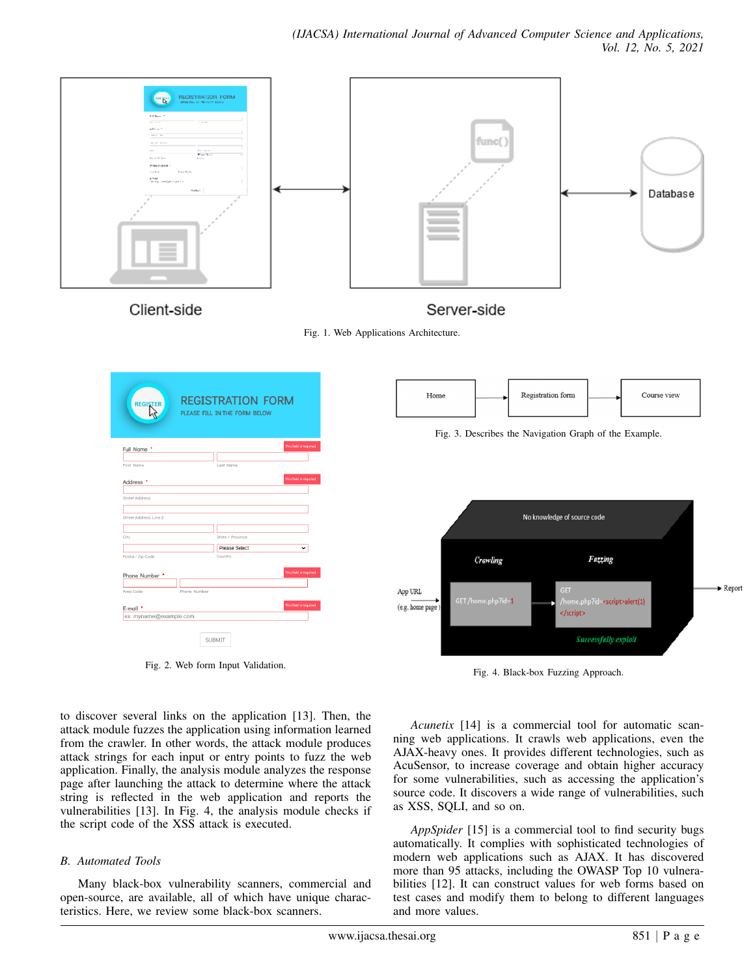





Fig. 2. Web form Input Validation.



Fig. 3. Describes the Navigation Graph of the Example.



Fig. 4. Black-box Fuzzing Approach.

to discover several links on the application [13]. Then, the attack module fuzzes the application using information learned from the crawler. In other words, the attack module produces attack strings for each input or entry points to fuzz the web application. Finally, the analysis module analyzes the response page after launching the attack to determine where the attack string is reflected in the web application and reports the vulnerabilities [13]. In Fig. 4, the analysis module checks if the script code of the XSS attack is executed.

#### *B. Automated Tools*

Many black-box vulnerability scanners, commercial and open-source, are available, all of which have unique characteristics. Here, we review some black-box scanners.

*Acunetix* [14] is a commercial tool for automatic scanning web applications. It crawls web applications, even the AJAX-heavy ones. It provides different technologies, such as AcuSensor, to increase coverage and obtain higher accuracy for some vulnerabilities, such as accessing the application's source code. It discovers a wide range of vulnerabilities, such as XSS, SQLI, and so on.

*AppSpider* [15] is a commercial tool to find security bugs automatically. It complies with sophisticated technologies of modern web applications such as AJAX. It has discovered more than 95 attacks, including the OWASP Top 10 vulnerabilities [12]. It can construct values for web forms based on test cases and modify them to belong to different languages and more values.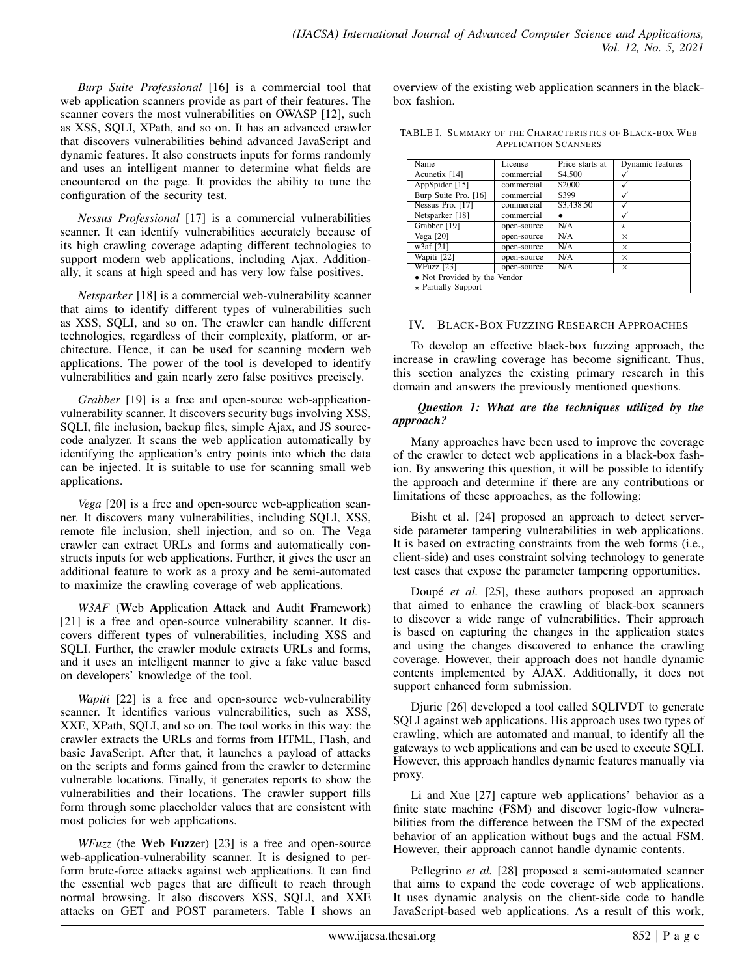*Burp Suite Professional* [16] is a commercial tool that web application scanners provide as part of their features. The scanner covers the most vulnerabilities on OWASP [12], such as XSS, SQLI, XPath, and so on. It has an advanced crawler that discovers vulnerabilities behind advanced JavaScript and dynamic features. It also constructs inputs for forms randomly and uses an intelligent manner to determine what fields are encountered on the page. It provides the ability to tune the configuration of the security test.

*Nessus Professional* [17] is a commercial vulnerabilities scanner. It can identify vulnerabilities accurately because of its high crawling coverage adapting different technologies to support modern web applications, including Ajax. Additionally, it scans at high speed and has very low false positives.

*Netsparker* [18] is a commercial web-vulnerability scanner that aims to identify different types of vulnerabilities such as XSS, SQLI, and so on. The crawler can handle different technologies, regardless of their complexity, platform, or architecture. Hence, it can be used for scanning modern web applications. The power of the tool is developed to identify vulnerabilities and gain nearly zero false positives precisely.

*Grabber* [19] is a free and open-source web-applicationvulnerability scanner. It discovers security bugs involving XSS, SQLI, file inclusion, backup files, simple Ajax, and JS sourcecode analyzer. It scans the web application automatically by identifying the application's entry points into which the data can be injected. It is suitable to use for scanning small web applications.

*Vega* [20] is a free and open-source web-application scanner. It discovers many vulnerabilities, including SQLI, XSS, remote file inclusion, shell injection, and so on. The Vega crawler can extract URLs and forms and automatically constructs inputs for web applications. Further, it gives the user an additional feature to work as a proxy and be semi-automated to maximize the crawling coverage of web applications.

*W3AF* (Web Application Attack and Audit Framework) [21] is a free and open-source vulnerability scanner. It discovers different types of vulnerabilities, including XSS and SQLI. Further, the crawler module extracts URLs and forms, and it uses an intelligent manner to give a fake value based on developers' knowledge of the tool.

*Wapiti* [22] is a free and open-source web-vulnerability scanner. It identifies various vulnerabilities, such as XSS, XXE, XPath, SQLI, and so on. The tool works in this way: the crawler extracts the URLs and forms from HTML, Flash, and basic JavaScript. After that, it launches a payload of attacks on the scripts and forms gained from the crawler to determine vulnerable locations. Finally, it generates reports to show the vulnerabilities and their locations. The crawler support fills form through some placeholder values that are consistent with most policies for web applications.

*WFuzz* (the Web Fuzzer) [23] is a free and open-source web-application-vulnerability scanner. It is designed to perform brute-force attacks against web applications. It can find the essential web pages that are difficult to reach through normal browsing. It also discovers XSS, SQLI, and XXE attacks on GET and POST parameters. Table I shows an overview of the existing web application scanners in the blackbox fashion.

TABLE I. SUMMARY OF THE CHARACTERISTICS OF BLACK-BOX WEB APPLICATION SCANNERS

| Name                         | License     | Price starts at | Dynamic features |  |
|------------------------------|-------------|-----------------|------------------|--|
| Acunetix [14]                | commercial  | \$4,500         |                  |  |
| AppSpider $\sqrt{15}$        | commercial  | \$2000          |                  |  |
| Burp Suite Pro. [16]         | commercial  | \$399           |                  |  |
| Nessus Pro. [17]             | commercial  | \$3,438.50      |                  |  |
| Netsparker [18]              | commercial  |                 |                  |  |
| Grabber [19]                 | open-source | N/A             | $^\star$         |  |
| Vega $[20]$                  | open-source | N/A             | $\times$         |  |
| w3af [21]                    | open-source | N/A             | $\times$         |  |
| Wapiti [22]                  | open-source | N/A             | $\times$         |  |
| WFuzz [23]                   | open-source | N/A             | $\times$         |  |
| • Not Provided by the Vendor |             |                 |                  |  |
| $\pm$ Dortially Cunnort      |             |                 |                  |  |

 $\star$  Partially Support

## IV. BLACK-BOX FUZZING RESEARCH APPROACHES

To develop an effective black-box fuzzing approach, the increase in crawling coverage has become significant. Thus, this section analyzes the existing primary research in this domain and answers the previously mentioned questions.

## *Question 1: What are the techniques utilized by the approach?*

Many approaches have been used to improve the coverage of the crawler to detect web applications in a black-box fashion. By answering this question, it will be possible to identify the approach and determine if there are any contributions or limitations of these approaches, as the following:

Bisht et al. [24] proposed an approach to detect serverside parameter tampering vulnerabilities in web applications. It is based on extracting constraints from the web forms (i.e., client-side) and uses constraint solving technology to generate test cases that expose the parameter tampering opportunities.

Doupé *et al.* [25], these authors proposed an approach that aimed to enhance the crawling of black-box scanners to discover a wide range of vulnerabilities. Their approach is based on capturing the changes in the application states and using the changes discovered to enhance the crawling coverage. However, their approach does not handle dynamic contents implemented by AJAX. Additionally, it does not support enhanced form submission.

Djuric [26] developed a tool called SQLIVDT to generate SQLI against web applications. His approach uses two types of crawling, which are automated and manual, to identify all the gateways to web applications and can be used to execute SQLI. However, this approach handles dynamic features manually via proxy.

Li and Xue [27] capture web applications' behavior as a finite state machine (FSM) and discover logic-flow vulnerabilities from the difference between the FSM of the expected behavior of an application without bugs and the actual FSM. However, their approach cannot handle dynamic contents.

Pellegrino *et al.* [28] proposed a semi-automated scanner that aims to expand the code coverage of web applications. It uses dynamic analysis on the client-side code to handle JavaScript-based web applications. As a result of this work,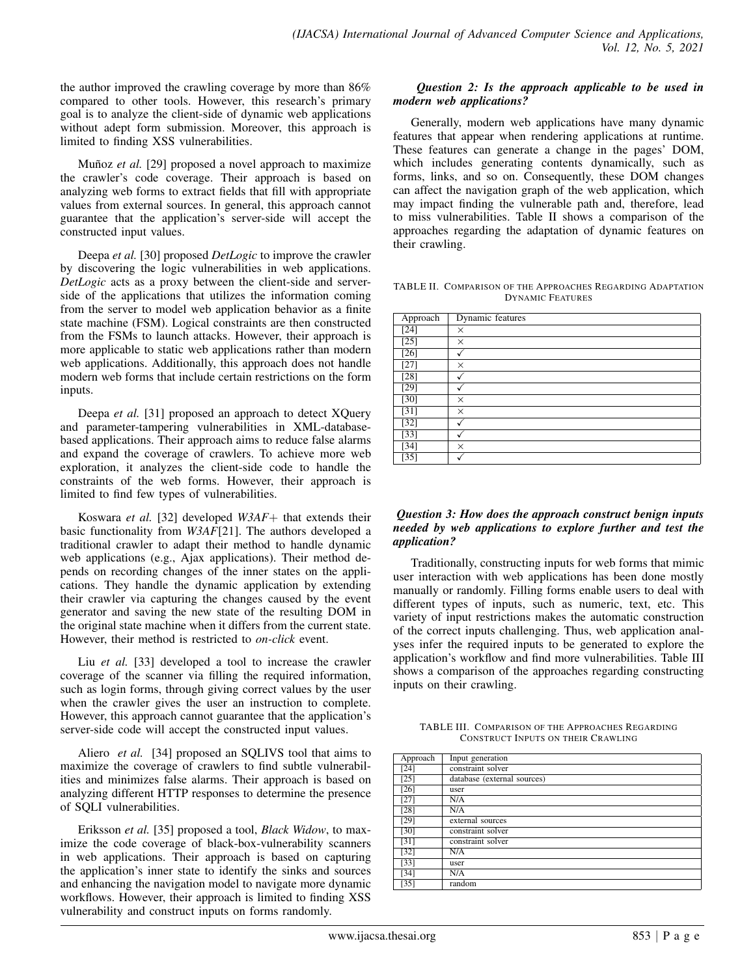the author improved the crawling coverage by more than 86% compared to other tools. However, this research's primary goal is to analyze the client-side of dynamic web applications without adept form submission. Moreover, this approach is limited to finding XSS vulnerabilities.

Muñoz *et al.* [29] proposed a novel approach to maximize the crawler's code coverage. Their approach is based on analyzing web forms to extract fields that fill with appropriate values from external sources. In general, this approach cannot guarantee that the application's server-side will accept the constructed input values.

Deepa *et al.* [30] proposed *DetLogic* to improve the crawler by discovering the logic vulnerabilities in web applications. *DetLogic* acts as a proxy between the client-side and serverside of the applications that utilizes the information coming from the server to model web application behavior as a finite state machine (FSM). Logical constraints are then constructed from the FSMs to launch attacks. However, their approach is more applicable to static web applications rather than modern web applications. Additionally, this approach does not handle modern web forms that include certain restrictions on the form inputs.

Deepa *et al.* [31] proposed an approach to detect XQuery and parameter-tampering vulnerabilities in XML-databasebased applications. Their approach aims to reduce false alarms and expand the coverage of crawlers. To achieve more web exploration, it analyzes the client-side code to handle the constraints of the web forms. However, their approach is limited to find few types of vulnerabilities.

Koswara *et al.* [32] developed *W3AF*+ that extends their basic functionality from *W3AF*[21]. The authors developed a traditional crawler to adapt their method to handle dynamic web applications (e.g., Ajax applications). Their method depends on recording changes of the inner states on the applications. They handle the dynamic application by extending their crawler via capturing the changes caused by the event generator and saving the new state of the resulting DOM in the original state machine when it differs from the current state. However, their method is restricted to *on-click* event.

Liu *et al.* [33] developed a tool to increase the crawler coverage of the scanner via filling the required information, such as login forms, through giving correct values by the user when the crawler gives the user an instruction to complete. However, this approach cannot guarantee that the application's server-side code will accept the constructed input values.

Aliero *et al.* [34] proposed an SQLIVS tool that aims to maximize the coverage of crawlers to find subtle vulnerabilities and minimizes false alarms. Their approach is based on analyzing different HTTP responses to determine the presence of SQLI vulnerabilities.

Eriksson *et al.* [35] proposed a tool, *Black Widow*, to maximize the code coverage of black-box-vulnerability scanners in web applications. Their approach is based on capturing the application's inner state to identify the sinks and sources and enhancing the navigation model to navigate more dynamic workflows. However, their approach is limited to finding XSS vulnerability and construct inputs on forms randomly.

## *Question 2: Is the approach applicable to be used in modern web applications?*

Generally, modern web applications have many dynamic features that appear when rendering applications at runtime. These features can generate a change in the pages' DOM, which includes generating contents dynamically, such as forms, links, and so on. Consequently, these DOM changes can affect the navigation graph of the web application, which may impact finding the vulnerable path and, therefore, lead to miss vulnerabilities. Table II shows a comparison of the approaches regarding the adaptation of dynamic features on their crawling.

TABLE II. COMPARISON OF THE APPROACHES REGARDING ADAPTATION DYNAMIC FEATURES

| Approach | <b>Dynamic</b> features |
|----------|-------------------------|
| [24]     | $\times$                |
| [25]     | $\times$                |
| $[26]$   |                         |
| [27]     | $\times$                |
| $[28]$   |                         |
| [29]     |                         |
| [30]     | X                       |
| [31]     | X                       |
| $[32]$   |                         |
| $[33]$   |                         |
| [34]     | X                       |
| [35]     |                         |

### *Question 3: How does the approach construct benign inputs needed by web applications to explore further and test the application?*

Traditionally, constructing inputs for web forms that mimic user interaction with web applications has been done mostly manually or randomly. Filling forms enable users to deal with different types of inputs, such as numeric, text, etc. This variety of input restrictions makes the automatic construction of the correct inputs challenging. Thus, web application analyses infer the required inputs to be generated to explore the application's workflow and find more vulnerabilities. Table III shows a comparison of the approaches regarding constructing inputs on their crawling.

TABLE III. COMPARISON OF THE APPROACHES REGARDING CONSTRUCT INPUTS ON THEIR CRAWLING

| Approach           | Input generation            |
|--------------------|-----------------------------|
| [24]               | constraint solver           |
| [25]               | database (external sources) |
| $[26]$             | user                        |
| [27]               | N/A                         |
| [28]               | N/A                         |
| [29]               | external sources            |
| [30]               | constraint solver           |
| $\lceil 31 \rceil$ | constraint solver           |
| $[32]$             | N/A                         |
| $[33]$             | user                        |
| [34]               | N/A                         |
| $[35]$             | random                      |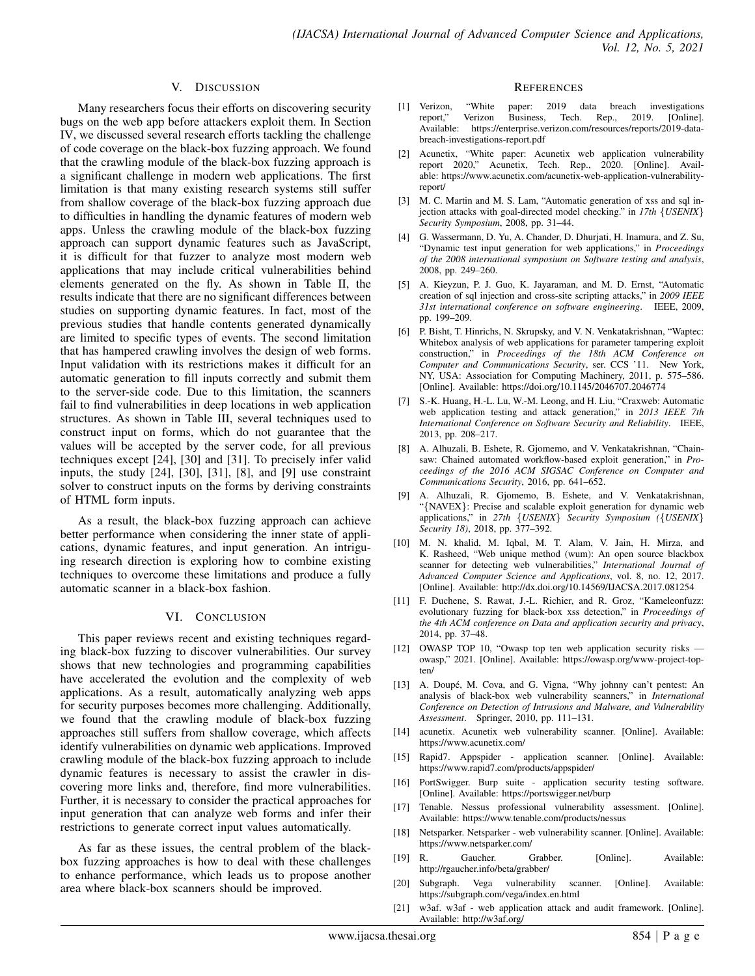#### V. DISCUSSION

Many researchers focus their efforts on discovering security bugs on the web app before attackers exploit them. In Section IV, we discussed several research efforts tackling the challenge of code coverage on the black-box fuzzing approach. We found that the crawling module of the black-box fuzzing approach is a significant challenge in modern web applications. The first limitation is that many existing research systems still suffer from shallow coverage of the black-box fuzzing approach due to difficulties in handling the dynamic features of modern web apps. Unless the crawling module of the black-box fuzzing approach can support dynamic features such as JavaScript, it is difficult for that fuzzer to analyze most modern web applications that may include critical vulnerabilities behind elements generated on the fly. As shown in Table II, the results indicate that there are no significant differences between studies on supporting dynamic features. In fact, most of the previous studies that handle contents generated dynamically are limited to specific types of events. The second limitation that has hampered crawling involves the design of web forms. Input validation with its restrictions makes it difficult for an automatic generation to fill inputs correctly and submit them to the server-side code. Due to this limitation, the scanners fail to find vulnerabilities in deep locations in web application structures. As shown in Table III, several techniques used to construct input on forms, which do not guarantee that the values will be accepted by the server code, for all previous techniques except [24], [30] and [31]. To precisely infer valid inputs, the study [24], [30], [31], [8], and [9] use constraint solver to construct inputs on the forms by deriving constraints of HTML form inputs.

As a result, the black-box fuzzing approach can achieve better performance when considering the inner state of applications, dynamic features, and input generation. An intriguing research direction is exploring how to combine existing techniques to overcome these limitations and produce a fully automatic scanner in a black-box fashion.

#### VI. CONCLUSION

This paper reviews recent and existing techniques regarding black-box fuzzing to discover vulnerabilities. Our survey shows that new technologies and programming capabilities have accelerated the evolution and the complexity of web applications. As a result, automatically analyzing web apps for security purposes becomes more challenging. Additionally, we found that the crawling module of black-box fuzzing approaches still suffers from shallow coverage, which affects identify vulnerabilities on dynamic web applications. Improved crawling module of the black-box fuzzing approach to include dynamic features is necessary to assist the crawler in discovering more links and, therefore, find more vulnerabilities. Further, it is necessary to consider the practical approaches for input generation that can analyze web forms and infer their restrictions to generate correct input values automatically.

As far as these issues, the central problem of the blackbox fuzzing approaches is how to deal with these challenges to enhance performance, which leads us to propose another area where black-box scanners should be improved.

#### **REFERENCES**

- [1] Verizon, "White paper: 2019 data breach investigations report," Verizon Business, Tech. Rep., 2019. [Online]. Available: https://enterprise.verizon.com/resources/reports/2019-databreach-investigations-report.pdf
- [2] Acunetix, "White paper: Acunetix web application vulnerability report 2020," Acunetix, Tech. Rep., 2020. [Online]. Available: https://www.acunetix.com/acunetix-web-application-vulnerabilityreport/
- [3] M. C. Martin and M. S. Lam, "Automatic generation of xss and sql injection attacks with goal-directed model checking." in *17th* {*USENIX*} *Security Symposium*, 2008, pp. 31–44.
- [4] G. Wassermann, D. Yu, A. Chander, D. Dhurjati, H. Inamura, and Z. Su, "Dynamic test input generation for web applications," in *Proceedings of the 2008 international symposium on Software testing and analysis*, 2008, pp. 249–260.
- [5] A. Kieyzun, P. J. Guo, K. Jayaraman, and M. D. Ernst, "Automatic creation of sql injection and cross-site scripting attacks," in *2009 IEEE 31st international conference on software engineering*. IEEE, 2009, pp. 199–209.
- P. Bisht, T. Hinrichs, N. Skrupsky, and V. N. Venkatakrishnan, "Waptec: Whitebox analysis of web applications for parameter tampering exploit construction," in *Proceedings of the 18th ACM Conference on Computer and Communications Security*, ser. CCS '11. New York, NY, USA: Association for Computing Machinery, 2011, p. 575–586. [Online]. Available: https://doi.org/10.1145/2046707.2046774
- [7] S.-K. Huang, H.-L. Lu, W.-M. Leong, and H. Liu, "Craxweb: Automatic web application testing and attack generation," in *2013 IEEE 7th International Conference on Software Security and Reliability*. IEEE, 2013, pp. 208–217.
- [8] A. Alhuzali, B. Eshete, R. Gjomemo, and V. Venkatakrishnan, "Chainsaw: Chained automated workflow-based exploit generation," in *Proceedings of the 2016 ACM SIGSAC Conference on Computer and Communications Security*, 2016, pp. 641–652.
- [9] A. Alhuzali, R. Gjomemo, B. Eshete, and V. Venkatakrishnan, "{NAVEX}: Precise and scalable exploit generation for dynamic web applications," in *27th* {*USENIX*} *Security Symposium (*{*USENIX*} *Security 18)*, 2018, pp. 377–392.
- [10] M. N. khalid, M. Iqbal, M. T. Alam, V. Jain, H. Mirza, and K. Rasheed, "Web unique method (wum): An open source blackbox scanner for detecting web vulnerabilities," *International Journal of Advanced Computer Science and Applications*, vol. 8, no. 12, 2017. [Online]. Available: http://dx.doi.org/10.14569/IJACSA.2017.081254
- [11] F. Duchene, S. Rawat, J.-L. Richier, and R. Groz, "Kameleonfuzz: evolutionary fuzzing for black-box xss detection," in *Proceedings of the 4th ACM conference on Data and application security and privacy*, 2014, pp. 37–48.
- [12] OWASP TOP 10, "Owasp top ten web application security risks owasp," 2021. [Online]. Available: https://owasp.org/www-project-topten/
- [13] A. Doupé, M. Cova, and G. Vigna, "Why johnny can't pentest: An analysis of black-box web vulnerability scanners," in *International Conference on Detection of Intrusions and Malware, and Vulnerability Assessment*. Springer, 2010, pp. 111–131.
- [14] acunetix. Acunetix web vulnerability scanner. [Online]. Available: https://www.acunetix.com/
- [15] Rapid7. Appspider application scanner. [Online]. Available: https://www.rapid7.com/products/appspider/
- [16] PortSwigger. Burp suite application security testing software. [Online]. Available: https://portswigger.net/burp
- [17] Tenable. Nessus professional vulnerability assessment. [Online]. Available: https://www.tenable.com/products/nessus
- [18] Netsparker. Netsparker web vulnerability scanner. [Online]. Available: https://www.netsparker.com/
- [19] R. Gaucher. Grabber. [Online]. Available: http://rgaucher.info/beta/grabber/
- [20] Subgraph. Vega vulnerability scanner. [Online]. Available: https://subgraph.com/vega/index.en.html
- [21] w3af. w3af web application attack and audit framework. [Online]. Available: http://w3af.org/